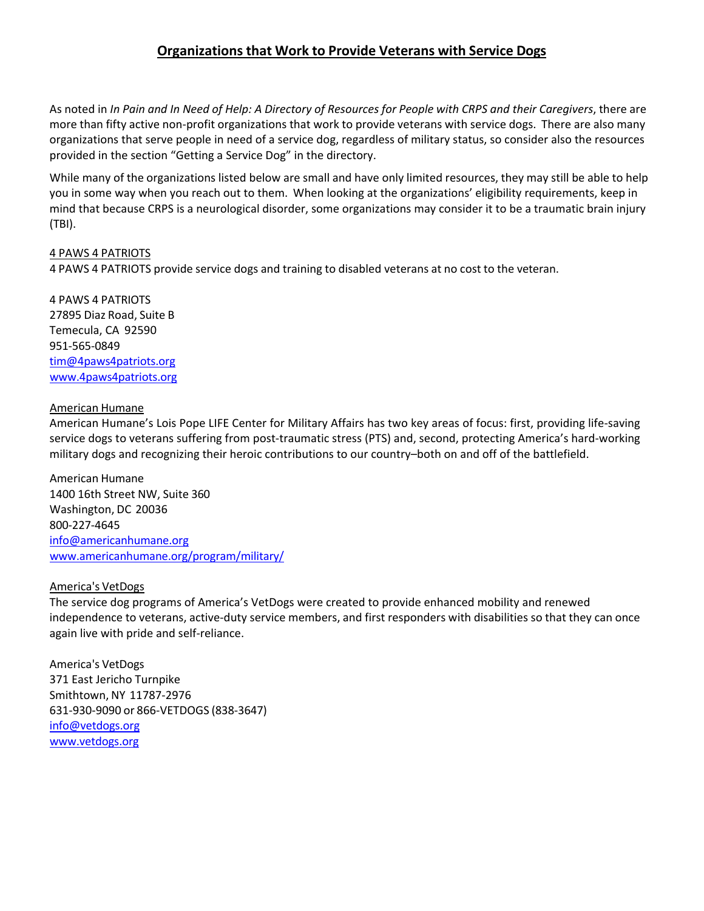# **Organizations that Work to Provide Veterans with Service Dogs**

As noted in In Pain and In Need of Help: A Directory of Resources for People with CRPS and their Caregivers, there are more than fifty active non‐profit organizations that work to provide veterans with service dogs. There are also many organizations that serve people in need of a service dog, regardless of military status, so consider also the resources provided in the section "Getting a Service Dog" in the directory.

While many of the organizations listed below are small and have only limited resources, they may still be able to help you in some way when you reach out to them. When looking at the organizations' eligibility requirements, keep in mind that because CRPS is a neurological disorder, some organizations may consider it to be a traumatic brain injury (TBI).

## 4 PAWS 4 PATRIOTS

4 PAWS 4 PATRIOTS provide service dogs and training to disabled veterans at no cost to the veteran.

4 PAWS 4 PATRIOTS 27895 Diaz Road, Suite B Temecula, CA 92590 951‐565‐0849 tim@4paws4patriots.org www.4paws4patriots.org

## American Humane

American Humane's Lois Pope LIFE Center for Military Affairs has two key areas of focus: first, providing life‐saving service dogs to veterans suffering from post-traumatic stress (PTS) and, second, protecting America's hard-working military dogs and recognizing their heroic contributions to our country–both on and off of the battlefield.

American Humane 1400 16th Street NW, Suite 360 Washington, DC 20036 800‐227‐4645 info@americanhumane.org www.americanhumane.org/program/military/

## America's VetDogs

The service dog programs of America's VetDogs were created to provide enhanced mobility and renewed independence to veterans, active‐duty service members, and first responders with disabilities so that they can once again live with pride and self‐reliance.

America's VetDogs 371 East Jericho Turnpike Smithtown, NY 11787‐2976 631‐930‐9090 or 866‐VETDOGS (838‐3647) info@vetdogs.org www.vetdogs.org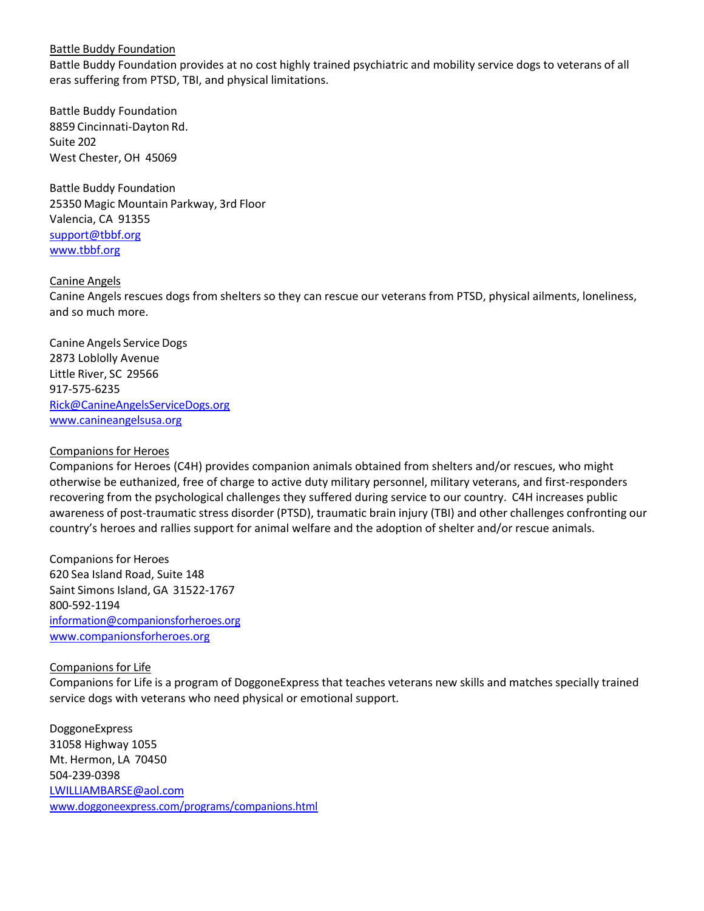## Battle Buddy Foundation

Battle Buddy Foundation provides at no cost highly trained psychiatric and mobility service dogs to veterans of all eras suffering from PTSD, TBI, and physical limitations.

Battle Buddy Foundation 8859 Cincinnati‐Dayton Rd. Suite 202 West Chester, OH 45069

Battle Buddy Foundation 25350 Magic Mountain Parkway, 3rd Floor Valencia, CA 91355 support@tbbf.org www.tbbf.org

## Canine Angels

Canine Angels rescues dogs from shelters so they can rescue our veterans from PTSD, physical ailments, loneliness, and so much more.

Canine Angels Service Dogs 2873 Loblolly Avenue Little River, SC 29566 917‐575‐6235 Rick@CanineAngelsServiceDogs.org www.canineangelsusa.org

## Companions for Heroes

Companions for Heroes (C4H) provides companion animals obtained from shelters and/or rescues, who might otherwise be euthanized, free of charge to active duty military personnel, military veterans, and first‐responders recovering from the psychological challenges they suffered during service to our country. C4H increases public awareness of post-traumatic stress disorder (PTSD), traumatic brain injury (TBI) and other challenges confronting our country's heroes and rallies support for animal welfare and the adoption of shelter and/or rescue animals.

Companions for Heroes 620 Sea Island Road, Suite 148 Saint Simons Island, GA 31522‐1767 800‐592‐1194 information@companionsforheroes.org www.companionsforheroes.org

#### Companions for Life

Companions for Life is a program of DoggoneExpress that teaches veterans new skills and matches specially trained service dogs with veterans who need physical or emotional support.

DoggoneExpress 31058 Highway 1055 Mt. Hermon, LA 70450 504‐239‐0398 LWILLIAMBARSE@aol.com www.doggoneexpress.com/programs/companions.html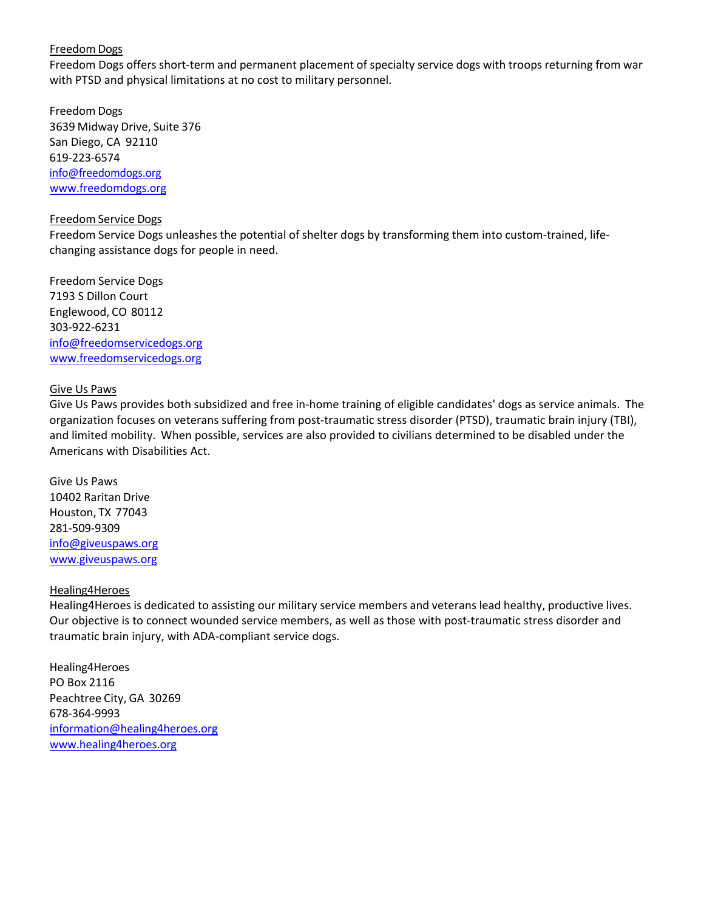## Freedom Dogs

Freedom Dogs offers short-term and permanent placement of specialty service dogs with troops returning from war with PTSD and physical limitations at no cost to military personnel.

Freedom Dogs 3639 Midway Drive, Suite 376 San Diego, CA 92110 619‐223‐6574 info@freedomdogs.org www.freedomdogs.org

#### Freedom Service Dogs

Freedom Service Dogs unleashes the potential of shelter dogs by transforming them into custom-trained, lifechanging assistance dogs for people in need.

Freedom Service Dogs 7193 S Dillon Court Englewood, CO 80112 303‐922‐6231 info@freedomservicedogs.org www.freedomservicedogs.org

## Give Us Paws

Give Us Paws provides both subsidized and free in‐home training of eligible candidates' dogs as service animals. The organization focuses on veterans suffering from post‐traumatic stress disorder (PTSD), traumatic brain injury (TBI), and limited mobility. When possible, services are also provided to civilians determined to be disabled under the Americans with Disabilities Act.

Give Us Paws 10402 Raritan Drive Houston, TX 77043 281‐509‐9309 info@giveuspaws.org www.giveuspaws.org

#### Healing4Heroes

Healing4Heroes is dedicated to assisting our military service members and veterans lead healthy, productive lives. Our objective is to connect wounded service members, as well as those with post-traumatic stress disorder and traumatic brain injury, with ADA‐compliant service dogs.

Healing4Heroes PO Box 2116 Peachtree City, GA 30269 678‐364‐9993 information@healing4heroes.org www.healing4heroes.org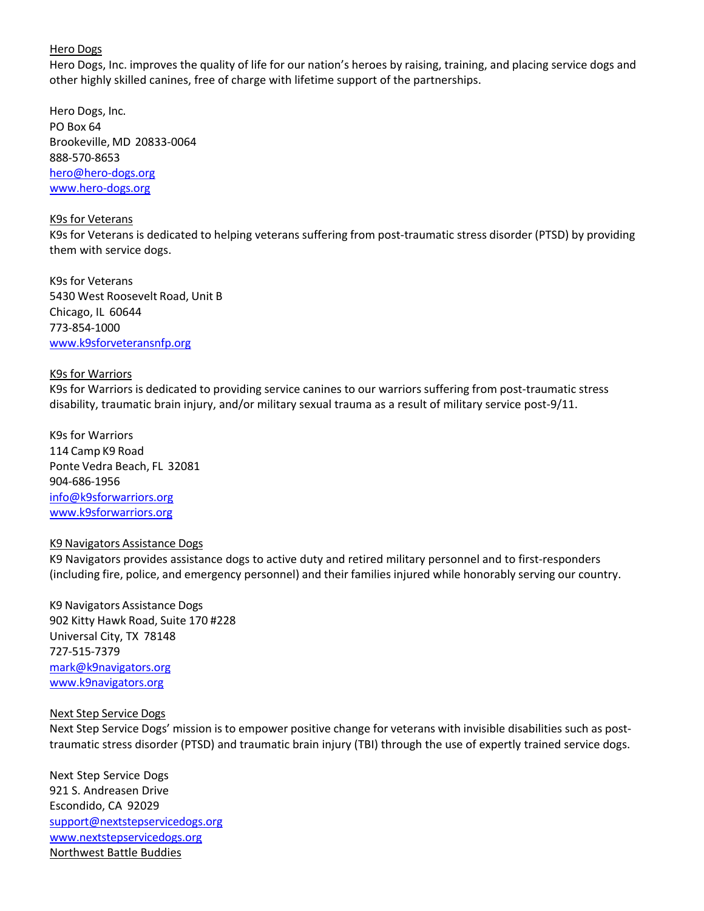## Hero Dogs

Hero Dogs, Inc. improves the quality of life for our nation's heroes by raising, training, and placing service dogs and other highly skilled canines, free of charge with lifetime support of the partnerships.

Hero Dogs, Inc. PO Box 64 Brookeville, MD 20833‐0064 888‐570‐8653 hero@hero‐dogs.org www.hero‐dogs.org

#### K9s for Veterans

K9s for Veterans is dedicated to helping veterans suffering from post-traumatic stress disorder (PTSD) by providing them with service dogs.

K9s for Veterans 5430 West Roosevelt Road, Unit B Chicago, IL 60644 773‐854‐1000 www.k9sforveteransnfp.org

#### K9s for Warriors

K9s for Warriors is dedicated to providing service canines to our warriors suffering from post-traumatic stress disability, traumatic brain injury, and/or military sexual trauma as a result of military service post‐9/11.

K9s for Warriors 114 Camp K9 Road Ponte Vedra Beach, FL 32081 904‐686‐1956 info@k9sforwarriors.org www.k9sforwarriors.org

## K9 Navigators Assistance Dogs

K9 Navigators provides assistance dogs to active duty and retired military personnel and to first‐responders (including fire, police, and emergency personnel) and their families injured while honorably serving our country.

K9 Navigators Assistance Dogs 902 Kitty Hawk Road, Suite 170 #228 Universal City, TX 78148 727‐515‐7379 mark@k9navigators.org www.k9navigators.org

#### Next Step Service Dogs

Next Step Service Dogs' mission is to empower positive change for veterans with invisible disabilities such as post‐ traumatic stress disorder (PTSD) and traumatic brain injury (TBI) through the use of expertly trained service dogs.

Next Step Service Dogs 921 S. Andreasen Drive Escondido, CA 92029 support@nextstepservicedogs.org www.nextstepservicedogs.org Northwest Battle Buddies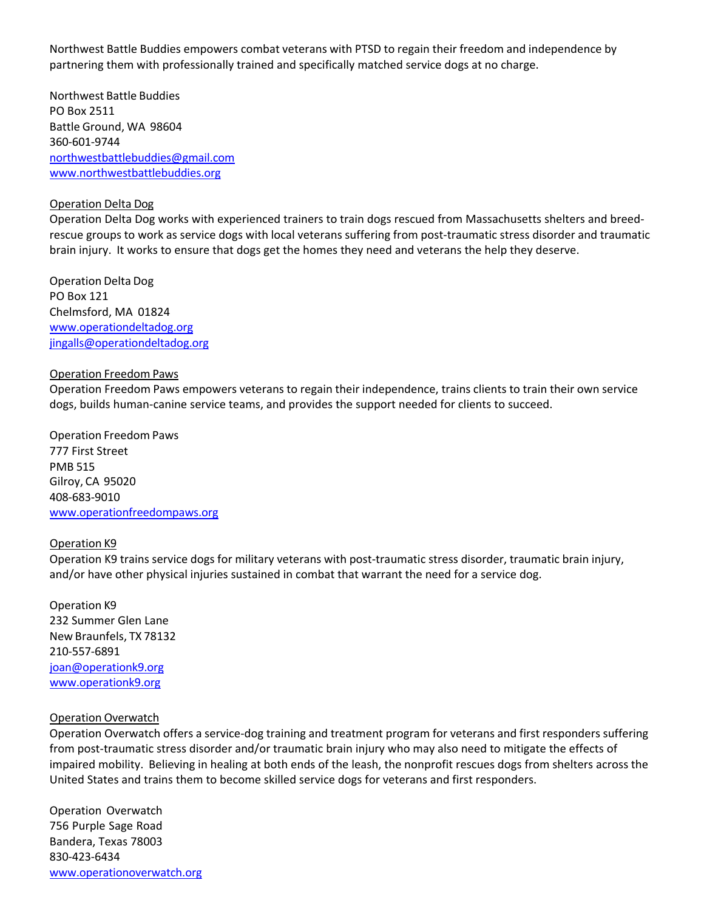Northwest Battle Buddies empowers combat veterans with PTSD to regain their freedom and independence by partnering them with professionally trained and specifically matched service dogs at no charge.

Northwest Battle Buddies PO Box 2511 Battle Ground, WA 98604 360‐601‐9744 northwestbattlebuddies@gmail.com www.northwestbattlebuddies.org

## Operation Delta Dog

Operation Delta Dog works with experienced trainers to train dogs rescued from Massachusetts shelters and breed‐ rescue groups to work as service dogs with local veterans suffering from post-traumatic stress disorder and traumatic brain injury. It works to ensure that dogs get the homes they need and veterans the help they deserve.

Operation Delta Dog PO Box 121 Chelmsford, MA 01824 www.operationdeltadog.org jingalls@operationdeltadog.org

## Operation Freedom Paws

Operation Freedom Paws empowers veterans to regain their independence, trains clients to train their own service dogs, builds human‐canine service teams, and provides the support needed for clients to succeed.

Operation Freedom Paws 777 First Street PMB 515 Gilroy, CA 95020 408‐683‐9010 www.operationfreedompaws.org

## Operation K9

Operation K9 trains service dogs for military veterans with post-traumatic stress disorder, traumatic brain injury, and/or have other physical injuries sustained in combat that warrant the need for a service dog.

Operation K9 232 Summer Glen Lane New Braunfels, TX 78132 210‐557‐6891 joan@operationk9.org www.operationk9.org

## Operation Overwatch

Operation Overwatch offers a service‐dog training and treatment program for veterans and first responders suffering from post-traumatic stress disorder and/or traumatic brain injury who may also need to mitigate the effects of impaired mobility. Believing in healing at both ends of the leash, the nonprofit rescues dogs from shelters across the United States and trains them to become skilled service dogs for veterans and first responders.

Operation Overwatch 756 Purple Sage Road Bandera, Texas 78003 830‐423‐6434 www.operationoverwatch.org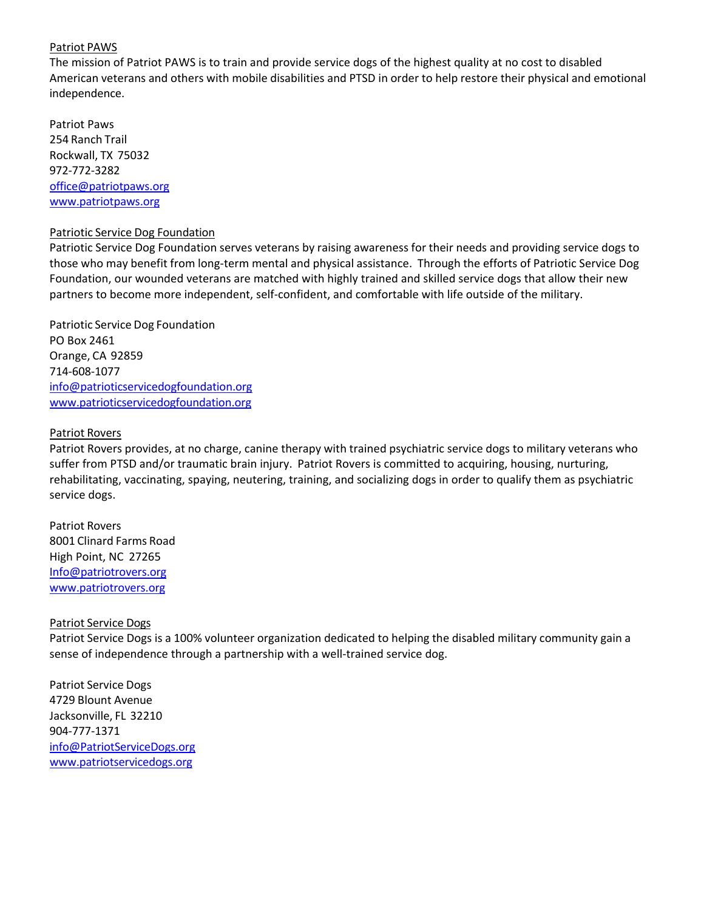## Patriot PAWS

The mission of Patriot PAWS is to train and provide service dogs of the highest quality at no cost to disabled American veterans and others with mobile disabilities and PTSD in order to help restore their physical and emotional independence.

Patriot Paws 254 Ranch Trail Rockwall, TX 75032 972‐772‐3282 office@patriotpaws.org www.patriotpaws.org

## Patriotic Service Dog Foundation

Patriotic Service Dog Foundation serves veterans by raising awareness for their needs and providing service dogs to those who may benefit from long‐term mental and physical assistance. Through the efforts of Patriotic Service Dog Foundation, our wounded veterans are matched with highly trained and skilled service dogs that allow their new partners to become more independent, self‐confident, and comfortable with life outside of the military.

Patriotic Service Dog Foundation PO Box 2461 Orange, CA 92859 714‐608‐1077 info@patrioticservicedogfoundation.org www.patrioticservicedogfoundation.org

## Patriot Rovers

Patriot Rovers provides, at no charge, canine therapy with trained psychiatric service dogs to military veterans who suffer from PTSD and/or traumatic brain injury. Patriot Rovers is committed to acquiring, housing, nurturing, rehabilitating, vaccinating, spaying, neutering, training, and socializing dogs in order to qualify them as psychiatric service dogs.

Patriot Rovers 8001 Clinard Farms Road High Point, NC 27265 Info@patriotrovers.org www.patriotrovers.org

#### Patriot Service Dogs

Patriot Service Dogs is a 100% volunteer organization dedicated to helping the disabled military community gain a sense of independence through a partnership with a well-trained service dog.

Patriot Service Dogs 4729 Blount Avenue Jacksonville, FL 32210 904‐777‐1371 info@PatriotServiceDogs.org www.patriotservicedogs.org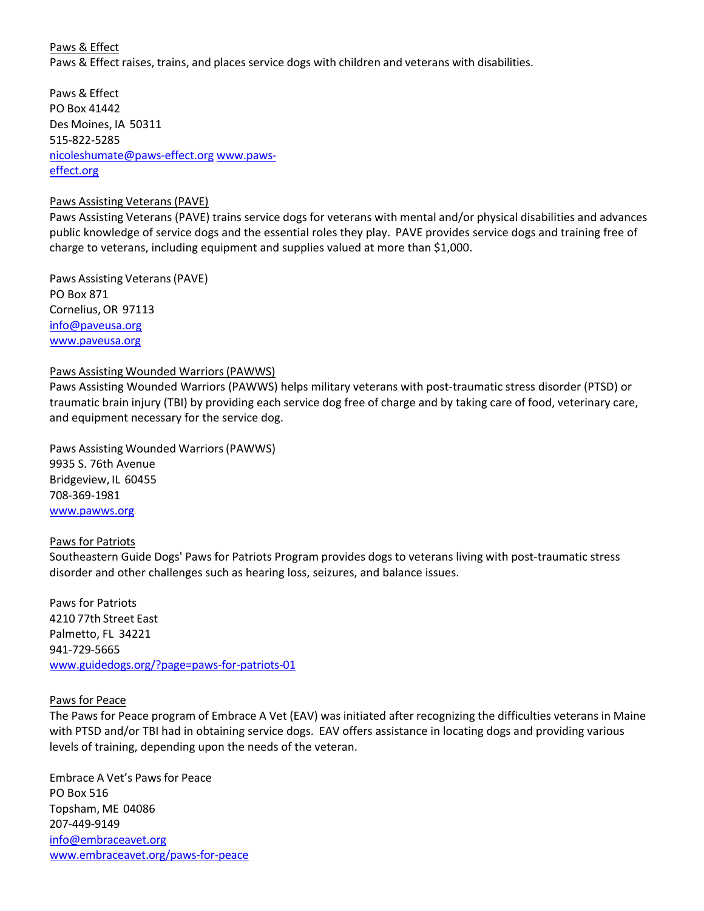# Paws & Effect Paws & Effect raises, trains, and places service dogs with children and veterans with disabilities.

Paws & Effect PO Box 41442 Des Moines, IA 50311 515‐822‐5285 nicoleshumate@paws‐effect.org www.paws‐ effect.org

## Paws Assisting Veterans (PAVE)

Paws Assisting Veterans (PAVE) trains service dogs for veterans with mental and/or physical disabilities and advances public knowledge of service dogs and the essential roles they play. PAVE provides service dogs and training free of charge to veterans, including equipment and supplies valued at more than \$1,000.

Paws Assisting Veterans(PAVE) PO Box 871 Cornelius,OR 97113 info@paveusa.org www.paveusa.org

## Paws Assisting Wounded Warriors(PAWWS)

Paws Assisting Wounded Warriors (PAWWS) helps military veterans with post-traumatic stress disorder (PTSD) or traumatic brain injury (TBI) by providing each service dog free of charge and by taking care of food, veterinary care, and equipment necessary for the service dog.

Paws Assisting Wounded Warriors(PAWWS) 9935 S. 76th Avenue Bridgeview, IL 60455 708‐369‐1981 www.pawws.org

## Paws for Patriots

Southeastern Guide Dogs' Paws for Patriots Program provides dogs to veterans living with post-traumatic stress disorder and other challenges such as hearing loss, seizures, and balance issues.

Paws for Patriots 4210 77th Street East Palmetto, FL 34221 941‐729‐5665 www.guidedogs.org/?page=paws‐for‐patriots‐01

## Paws for Peace

The Paws for Peace program of Embrace A Vet (EAV) was initiated after recognizing the difficulties veterans in Maine with PTSD and/or TBI had in obtaining service dogs. EAV offers assistance in locating dogs and providing various levels of training, depending upon the needs of the veteran.

Embrace A Vet's Pawsfor Peace PO Box 516 Topsham, ME 04086 207‐449‐9149 info@embraceavet.org www.embraceavet.org/paws‐for‐peace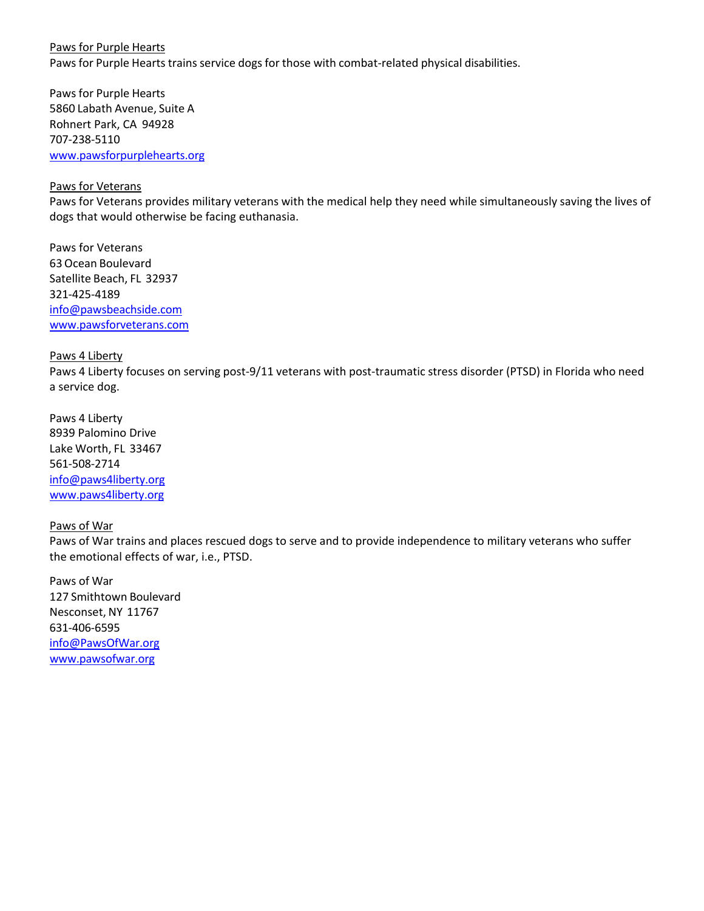Paws for Purple Hearts Paws for Purple Hearts trains service dogs for those with combat-related physical disabilities.

Paws for Purple Hearts 5860 Labath Avenue, Suite A Rohnert Park, CA 94928 707‐238‐5110 www.pawsforpurplehearts.org

## Paws for Veterans

Paws for Veterans provides military veterans with the medical help they need while simultaneously saving the lives of dogs that would otherwise be facing euthanasia.

Paws for Veterans 63Ocean Boulevard Satellite Beach, FL 32937 321‐425‐4189 info@pawsbeachside.com www.pawsforveterans.com

#### Paws 4 Liberty

Paws 4 Liberty focuses on serving post-9/11 veterans with post-traumatic stress disorder (PTSD) in Florida who need a service dog.

Paws 4 Liberty 8939 Palomino Drive Lake Worth, FL 33467 561‐508‐2714 info@paws4liberty.org www.paws4liberty.org

#### Paws of War

Paws of War trains and places rescued dogs to serve and to provide independence to military veterans who suffer the emotional effects of war, i.e., PTSD.

Paws of War 127 Smithtown Boulevard Nesconset, NY 11767 631‐406‐6595 info@PawsOfWar.org www.pawsofwar.org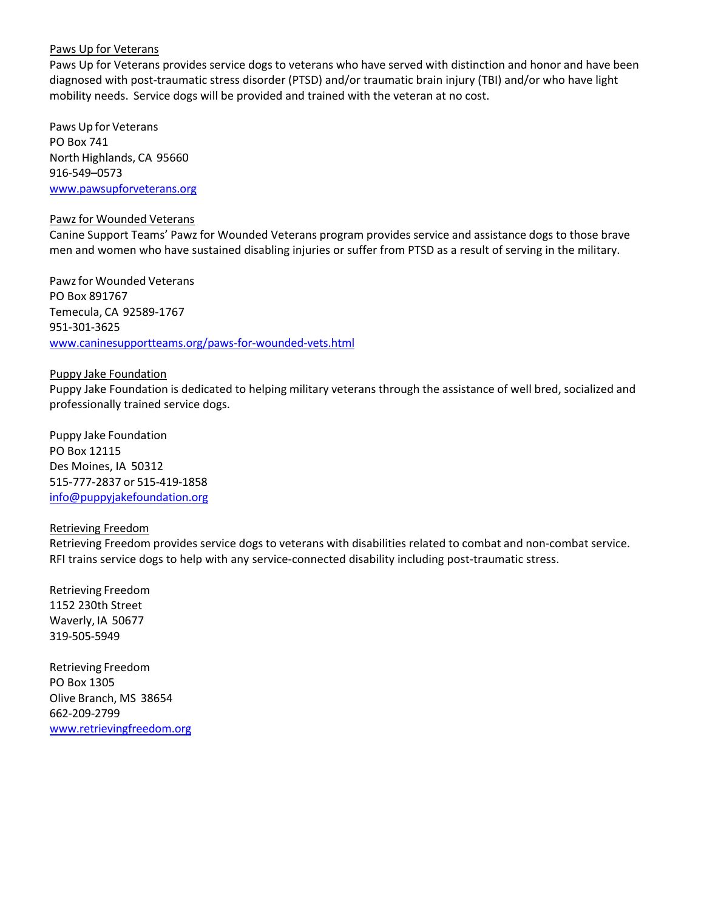## Paws Up for Veterans

Paws Up for Veterans provides service dogs to veterans who have served with distinction and honor and have been diagnosed with post‐traumatic stress disorder (PTSD) and/or traumatic brain injury (TBI) and/or who have light mobility needs. Service dogs will be provided and trained with the veteran at no cost.

Paws Up for Veterans PO Box 741 North Highlands, CA 95660 916‐549–0573 www.pawsupforveterans.org

#### Pawz for Wounded Veterans

Canine Support Teams' Pawz for Wounded Veterans program provides service and assistance dogs to those brave men and women who have sustained disabling injuries or suffer from PTSD as a result of serving in the military.

Pawzfor Wounded Veterans PO Box 891767 Temecula, CA 92589‐1767 951‐301‐3625 www.caninesupportteams.org/paws‐for‐wounded‐vets.html

## Puppy Jake Foundation

Puppy Jake Foundation is dedicated to helping military veterans through the assistance of well bred, socialized and professionally trained service dogs.

Puppy Jake Foundation PO Box 12115 Des Moines, IA 50312 515‐777‐2837 or 515‐419‐1858 info@puppyjakefoundation.org

#### Retrieving Freedom

Retrieving Freedom provides service dogs to veterans with disabilities related to combat and non‐combat service. RFI trains service dogs to help with any service-connected disability including post-traumatic stress.

Retrieving Freedom 1152 230th Street Waverly, IA 50677 319‐505‐5949

Retrieving Freedom PO Box 1305 Olive Branch, MS 38654 662‐209‐2799 www.retrievingfreedom.org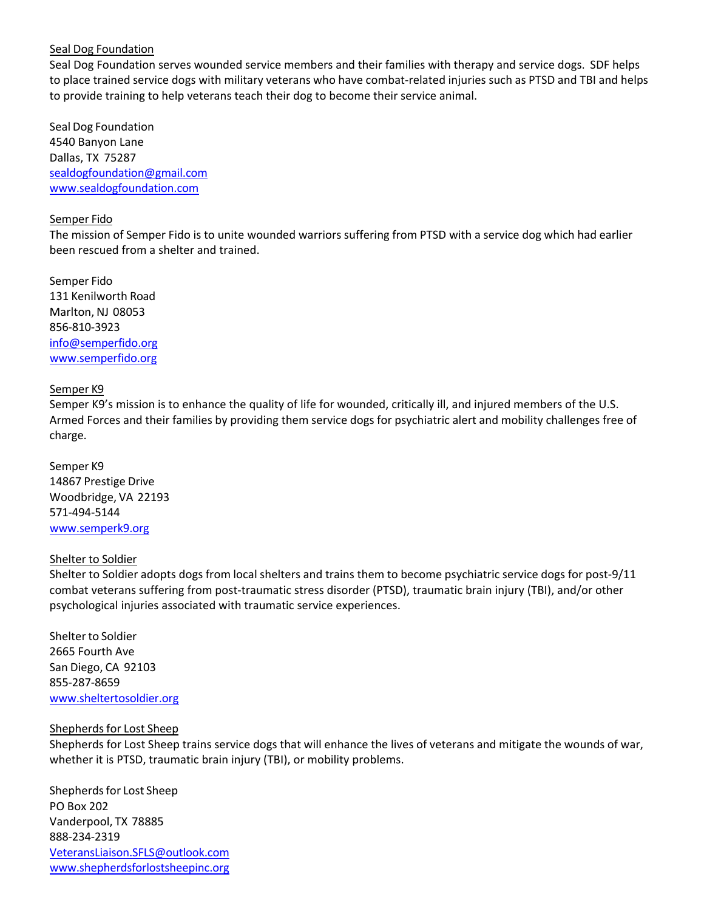## Seal Dog Foundation

Seal Dog Foundation serves wounded service members and their families with therapy and service dogs. SDF helps to place trained service dogs with military veterans who have combat-related injuries such as PTSD and TBI and helps to provide training to help veterans teach their dog to become their service animal.

Seal Dog Foundation 4540 Banyon Lane Dallas, TX 75287 sealdogfoundation@gmail.com www.sealdogfoundation.com

#### Semper Fido

The mission of Semper Fido is to unite wounded warriors suffering from PTSD with a service dog which had earlier been rescued from a shelter and trained.

Semper Fido 131 Kenilworth Road Marlton, NJ 08053 856‐810‐3923 info@semperfido.org www.semperfido.org

## Semper K9

Semper K9's mission is to enhance the quality of life for wounded, critically ill, and injured members of the U.S. Armed Forces and their families by providing them service dogs for psychiatric alert and mobility challenges free of charge.

Semper K9 14867 Prestige Drive Woodbridge, VA 22193 571‐494‐5144 www.semperk9.org

## Shelter to Soldier

Shelter to Soldier adopts dogs from local shelters and trains them to become psychiatric service dogs for post‐9/11 combat veterans suffering from post‐traumatic stress disorder (PTSD), traumatic brain injury (TBI), and/or other psychological injuries associated with traumatic service experiences.

Shelter to Soldier 2665 Fourth Ave San Diego, CA 92103 855‐287‐8659 www.sheltertosoldier.org

#### Shepherds for Lost Sheep

Shepherds for Lost Sheep trains service dogs that will enhance the lives of veterans and mitigate the wounds of war, whether it is PTSD, traumatic brain injury (TBI), or mobility problems.

Shepherds for Lost Sheep PO Box 202 Vanderpool, TX 78885 888‐234‐2319 VeteransLiaison.SFLS@outlook.com www.shepherdsforlostsheepinc.org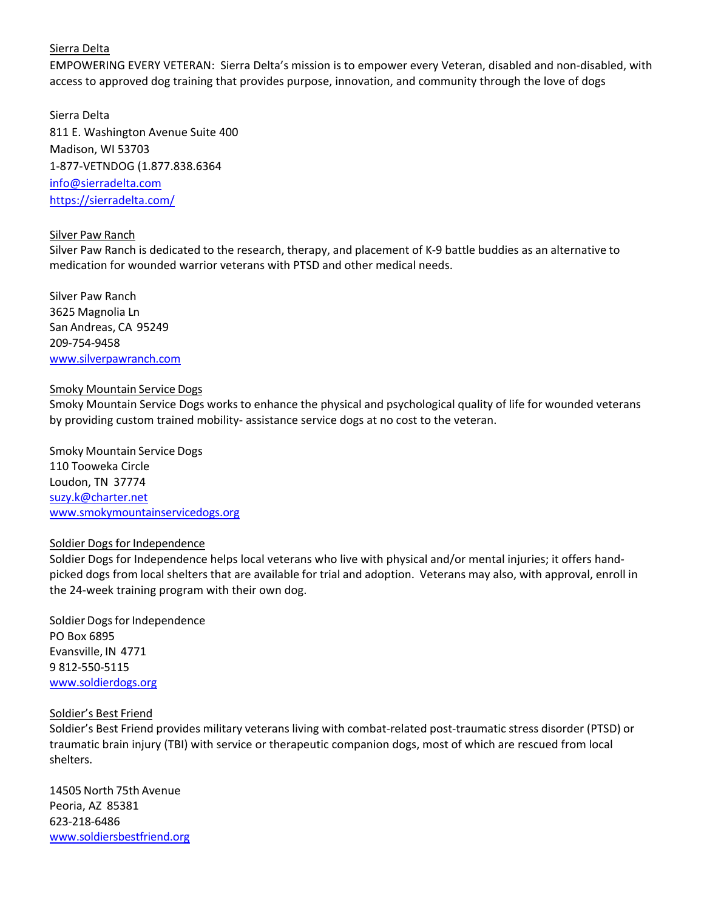## Sierra Delta

EMPOWERING EVERY VETERAN: Sierra Delta's mission is to empower every Veteran, disabled and non‐disabled, with access to approved dog training that provides purpose, innovation, and community through the love of dogs

Sierra Delta 811 E. Washington Avenue Suite 400 Madison, WI 53703 1‐877‐VETNDOG (1.877.838.6364 info@sierradelta.com https://sierradelta.com/

## Silver Paw Ranch

Silver Paw Ranch is dedicated to the research, therapy, and placement of K‐9 battle buddies as an alternative to medication for wounded warrior veterans with PTSD and other medical needs.

Silver Paw Ranch 3625 Magnolia Ln San Andreas, CA 95249 209‐754‐9458 www.silverpawranch.com

## Smoky Mountain Service Dogs

Smoky Mountain Service Dogs works to enhance the physical and psychological quality of life for wounded veterans by providing custom trained mobility‐ assistance service dogs at no cost to the veteran.

Smoky Mountain Service Dogs 110 Tooweka Circle Loudon, TN 37774 suzy.k@charter.net www.smokymountainservicedogs.org

## Soldier Dogs for Independence

Soldier Dogs for Independence helps local veterans who live with physical and/or mental injuries; it offers hand‐ picked dogs from local shelters that are available for trial and adoption. Veterans may also, with approval, enroll in the 24‐week training program with their own dog.

Soldier Dogs for Independence PO Box 6895 Evansville, IN 4771 9 812‐550‐5115 www.soldierdogs.org

#### Soldier's Best Friend

Soldier's Best Friend provides military veterans living with combat‐related post‐traumatic stress disorder (PTSD) or traumatic brain injury (TBI) with service or therapeutic companion dogs, most of which are rescued from local shelters.

14505 North 75th Avenue Peoria, AZ 85381 623‐218‐6486 www.soldiersbestfriend.org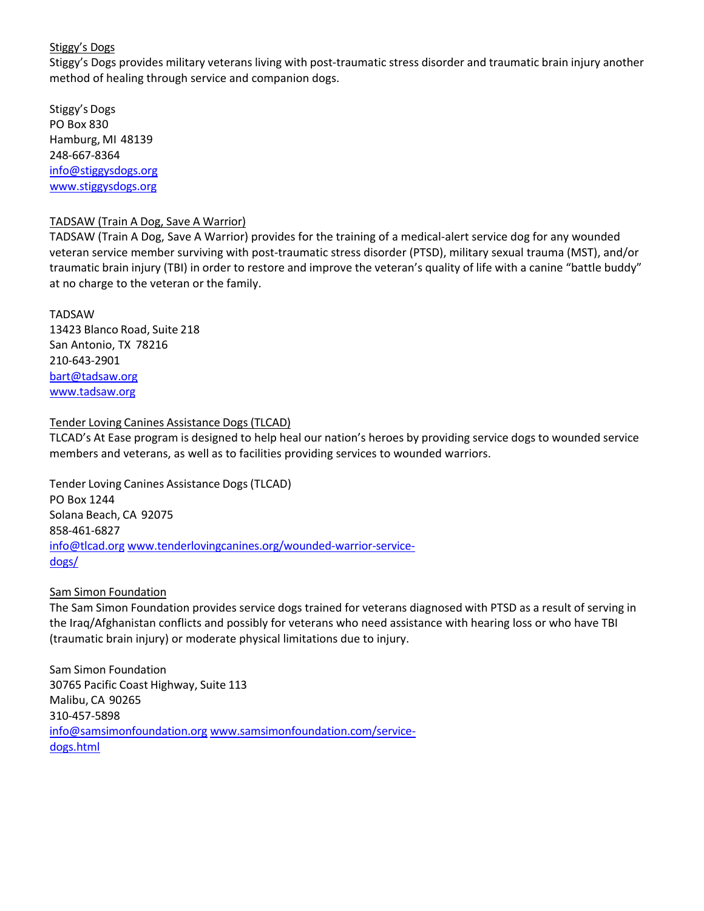## Stiggy's Dogs

Stiggy's Dogs provides military veterans living with post-traumatic stress disorder and traumatic brain injury another method of healing through service and companion dogs.

Stiggy's Dogs PO Box 830 Hamburg, MI 48139 248‐667‐8364 info@stiggysdogs.org www.stiggysdogs.org

## TADSAW (Train A Dog, Save A Warrior)

TADSAW (Train A Dog, Save A Warrior) provides for the training of a medical‐alert service dog for any wounded veteran service member surviving with post-traumatic stress disorder (PTSD), military sexual trauma (MST), and/or traumatic brain injury (TBI) in order to restore and improve the veteran's quality of life with a canine "battle buddy" at no charge to the veteran or the family.

TADSAW 13423 Blanco Road, Suite 218 San Antonio, TX 78216 210‐643‐2901 bart@tadsaw.org www.tadsaw.org

## Tender Loving Canines Assistance Dogs (TLCAD)

TLCAD's At Ease program is designed to help heal our nation's heroes by providing service dogs to wounded service members and veterans, as well as to facilities providing services to wounded warriors.

Tender Loving Canines Assistance Dogs (TLCAD) PO Box 1244 Solana Beach, CA 92075 858‐461‐6827 info@tlcad.org www.tenderlovingcanines.org/wounded-warrior-servicedogs/

## Sam Simon Foundation

The Sam Simon Foundation provides service dogs trained for veterans diagnosed with PTSD as a result of serving in the Iraq/Afghanistan conflicts and possibly for veterans who need assistance with hearing loss or who have TBI (traumatic brain injury) or moderate physical limitations due to injury.

Sam Simon Foundation 30765 Pacific Coast Highway, Suite 113 Malibu, CA 90265 310‐457‐5898 info@samsimonfoundation.org www.samsimonfoundation.com/service‐ dogs.html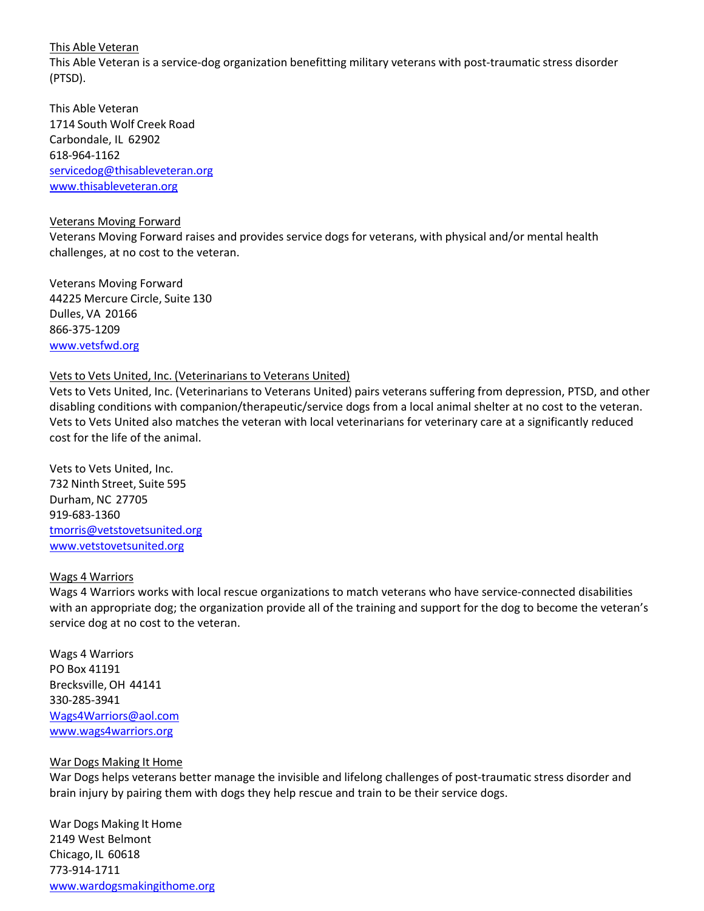This Able Veteran

This Able Veteran is a service‐dog organization benefitting military veterans with post‐traumatic stress disorder (PTSD).

This Able Veteran 1714 South Wolf Creek Road Carbondale, IL 62902 618‐964‐1162 servicedog@thisableveteran.org www.thisableveteran.org

#### Veterans Moving Forward

Veterans Moving Forward raises and provides service dogs for veterans, with physical and/or mental health challenges, at no cost to the veteran.

Veterans Moving Forward 44225 Mercure Circle, Suite 130 Dulles, VA 20166 866‐375‐1209 www.vetsfwd.org

#### Vets to Vets United, Inc. (Veterinarians to Veterans United)

Vets to Vets United, Inc. (Veterinarians to Veterans United) pairs veterans suffering from depression, PTSD, and other disabling conditions with companion/therapeutic/service dogs from a local animal shelter at no cost to the veteran. Vets to Vets United also matches the veteran with local veterinarians for veterinary care at a significantly reduced cost for the life of the animal.

Vets to Vets United, Inc. 732 Ninth Street, Suite 595 Durham, NC 27705 919‐683‐1360 tmorris@vetstovetsunited.org www.vetstovetsunited.org

#### Wags 4 Warriors

Wags 4 Warriors works with local rescue organizations to match veterans who have service-connected disabilities with an appropriate dog; the organization provide all of the training and support for the dog to become the veteran's service dog at no cost to the veteran.

Wags 4 Warriors PO Box 41191 Brecksville,OH 44141 330‐285‐3941 Wags4Warriors@aol.com www.wags4warriors.org

#### War Dogs Making It Home

War Dogs helps veterans better manage the invisible and lifelong challenges of post-traumatic stress disorder and brain injury by pairing them with dogs they help rescue and train to be their service dogs.

War Dogs Making It Home 2149 West Belmont Chicago, IL 60618 773‐914‐1711 www.wardogsmakingithome.org